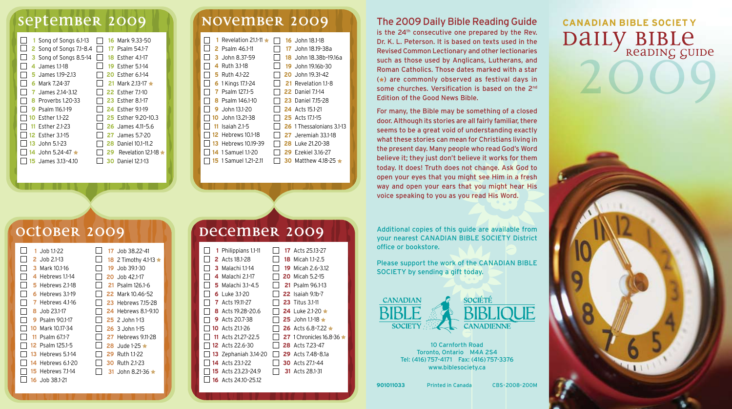## **september 2009 november 2009**

| 16 Mark 9.33-50<br>1 Song of Songs 6.1-13<br>2 Song of Songs 7.1-8.4<br>Psalm 54.1-7<br>17.<br>3 Song of Songs 8.5-14<br>18 Fsther 4.1-17<br>4 James 1.1-18<br><b>19 Esther 5.1-14</b><br><b>20 Esther 6.1-14</b><br><b>5</b> James 1.19-2.13<br>Mark 7.24-37<br>21 Mark 2.13-17 $\star$<br>6.<br>James 2.14-3.12<br><b>22 Esther 7.1-10</b><br>7.<br><b>23</b> Esther 8.1-17<br>Proverbs 1.20-33<br>24 Fsther 9.1-19<br>Psalm 116.1-19<br>25 Fsther 9.20-10.3<br>10 Esther 1.1-22<br>Esther 2.1-23<br><b>26</b> James 4.11-5.6<br><b>12</b> Esther 3.1-15<br>James 5.7-20<br>27. |  |
|-----------------------------------------------------------------------------------------------------------------------------------------------------------------------------------------------------------------------------------------------------------------------------------------------------------------------------------------------------------------------------------------------------------------------------------------------------------------------------------------------------------------------------------------------------------------------------------|--|
| <b>13</b> John 5.1-23<br>Daniel 10.1-11.2<br>28<br>14 John 5.24-47 ★<br>Revelation 12.1-18<br>29                                                                                                                                                                                                                                                                                                                                                                                                                                                                                  |  |
| <b>15</b> James 3.13-4.10<br>Daniel 12.1-13<br>30                                                                                                                                                                                                                                                                                                                                                                                                                                                                                                                                 |  |

|  | Revelation 21.1-11         |     | 16 John $18.1-18$          |
|--|----------------------------|-----|----------------------------|
|  | 2 Psalm 46.1-11            | 17. | John 18.19-38a             |
|  | 3 John 8.37-59             | 18. | John 18.38b-19.16a         |
|  | 4 Ruth 3.1-18              |     | 19. John 19.16h-30         |
|  | <b>5</b> Ruth 4.1-22       |     | 20 John 19.31-42           |
|  | 6 1 Kings 17.1-24          |     | 21 Revelation 1.1-8        |
|  | Psalm 127.1-5<br>7         |     | <b>22</b> Daniel 7.1-14    |
|  | Psalm 146.1-10<br>8        |     | <b>23</b> Daniel 7.15-28   |
|  | John 13.1-20<br>9          |     | <b>24</b> Acts 15.1-21     |
|  | 10 John 13.21-38           |     | <b>25</b> Acts 17.1-15     |
|  | $11$ Isaiah 2.1-5          |     | 26 1 Thessalonians 3.1-13  |
|  | <b>12</b> Hebrews 10.1-18  |     | <b>27</b> Jeremiah 33.1-18 |
|  | <b>13 Hebrews 10.19-39</b> | 28  | Luke 21.20-38              |
|  | <b>14</b> 1 Samuel 1.1-20  |     | 29 Fzekiel 3.16-27         |
|  | 1 Samuel 1.21-2.11         | зο  | Matthew 4.18-25            |
|  |                            |     |                            |

### The 2009 Daily Bible Reading Guide is the 24<sup>th</sup> consecutive one prepared by the Rev. Dr. K. L. Peterson. It is based on texts used in the Revised Common Lectionary and other lectionaries such as those used by Anglicans, Lutherans, and Roman Catholics. Those dates marked with a star  $(*)$  are commonly observed as festival days in some churches. Versification is based on the 2<sup>nd</sup>

Edition of the Good News Bible.

For many, the Bible may be something of a closed door. Although its stories are all fairly familiar, there seems to be a great void of understanding exactly what these stories can mean for Christians living in the present day. Many people who read God's Word believe it; they just don't believe it works for them today. It does! Truth does not change. Ask God to open your eyes that you might see Him in a fresh way and open your ears that you might hear His voice speaking to you as you read His Word.

DAILY BIBLE **CANADIAN BIBLE SOCIET Y**

| 1   | Job 1.1-22       |     | 17. Job 38.22-41            |
|-----|------------------|-----|-----------------------------|
| 2   | $J$ ob 2.1-13    |     | 18 2 Timothy 4.1-13 $\star$ |
| з   | Mark 10.1-16     |     | 19 Job 39.1-30              |
| 4   | Hebrews 1.1-14   |     | 20 Job 42.1-17              |
| 5   | Hebrews 2.1-18   | 21  | Psalm 126.1-6               |
| 6   | Hebrews 3.1-19   | 22. | Mark 10.46-52               |
| 7   | Hebrews 4.1-16   |     | <b>23 Hebrews 715-28</b>    |
| 8   | Job 23.1-17      |     | <b>24</b> Hebrews 8.1-9.10  |
| 9   | Psalm 90.1-17    |     | $25$ 2. John 1-13           |
| 10  | Mark 10.17-34    |     | $26.3$ John 1-15            |
| 11  | Psalm 67.1-7     |     | <b>27</b> Hebrews 9.11-28   |
|     | 12 Psalm 125.1-5 | 28  | $\cdot$ Jude 1-25           |
| 13  | Hebrews 5.1-14   | 29. | Ruth 1.1-22                 |
| 14  | Hebrews 6.1-20   | 30  | Ruth 2.1-23                 |
| 15. | Hebrews 71-14    | 31  | .John 8.21-36               |
| 16  | .Job 38.1-21     |     |                             |
|     |                  |     |                             |

### **october 2009 100 December 2009**

| 1 | Philippians 1.1-11        |     | 17 Acts 25.13-27               |
|---|---------------------------|-----|--------------------------------|
|   | <b>2</b> Acts 18.1-28     |     | <b>18</b> Micah 1.1-2.5        |
|   | 3 Malachi 1.1-14          | 19. | Micah 2.6-3.12                 |
|   | 4 Malachi 2.1-17          |     | <b>20</b> Micah 5.2-15         |
|   | 5 Malachi 3.1-4.5         |     | 21 Psalm 96.1-13               |
|   | 6 Luke 3.1-20             |     | <b>22</b> Isaiah 9.1b-7        |
|   | <b>7</b> Acts 19.11-27    |     | <b>23</b> Titus 3.1-11         |
|   | <b>8</b> Acts 19.28-20.6  |     | <b>24</b> Luke 2.1-20 $\star$  |
|   | <b>9</b> Acts 20.7-38     |     | 25 John 1.1-18 $\star$         |
|   | <b>10</b> Acts 211-26     |     | 26 Acts 6.8-7.22 $\star$       |
|   | 11 Acts 21.27-22.5        |     | <b>27</b> 1 Chronicles 16.8-36 |
|   | <b>12</b> Acts 22.6-30    |     | <b>28</b> Acts 7.23-47         |
|   | 13 Zephaniah 3.14-20      |     | <b>29</b> Acts 7.48-8.1a       |
|   | <b>14</b> Acts 23.1-22    |     | <b>30</b> Acts 271-44          |
|   | <b>15</b> Acts 23.23-24.9 |     | <b>31</b> Acts 28.1-31         |
|   | 16 Acts 24.10-25.12       |     |                                |

Additional copies of this guide are available from your nearest CANADIAN BIBLE SOCIETY District office or bookstore.

Please support the work of the CANADIAN BIBLE SOCIETY by sending a gift today.





10 Carnforth Road Toronto, Ontario M4A 2S4 Tel: (416)757-4171 Fax: (416)757-3376 www.biblesociety.ca

Printed in Canada CBS-2008-200M